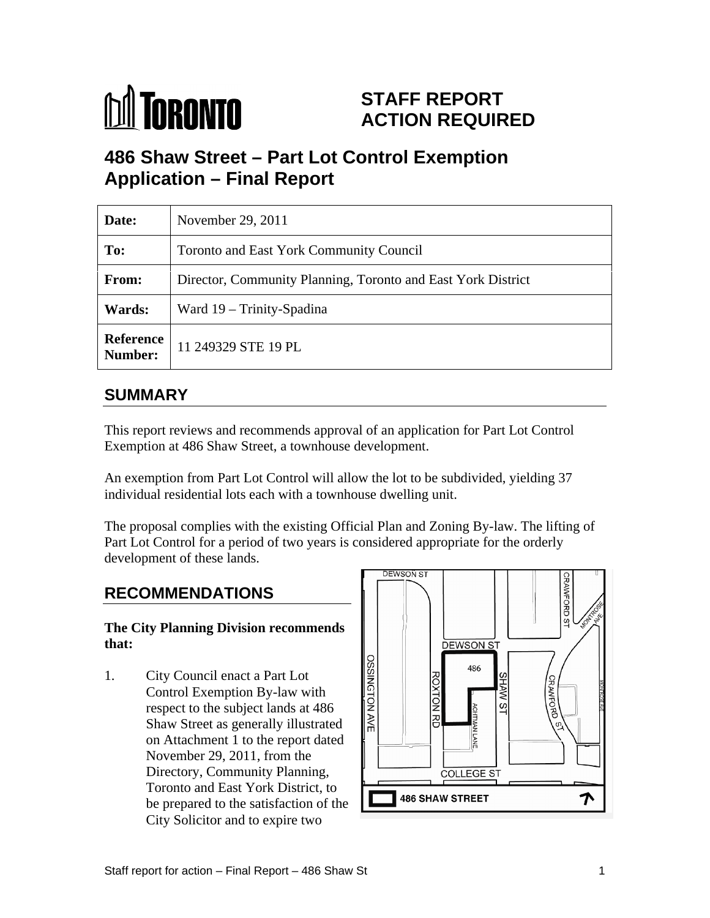# **M** TORONTO

# **STAFF REPORT ACTION REQUIRED**

# **486 Shaw Street – Part Lot Control Exemption Application – Final Report**

| Date:         | November 29, 2011                                            |
|---------------|--------------------------------------------------------------|
| To:           | Toronto and East York Community Council                      |
| From:         | Director, Community Planning, Toronto and East York District |
| <b>Wards:</b> | Ward 19 – Trinity-Spadina                                    |
|               | <b>Reference</b> 11 249329 STE 19 PL                         |

### **SUMMARY**

This report reviews and recommends approval of an application for Part Lot Control Exemption at 486 Shaw Street, a townhouse development.

An exemption from Part Lot Control will allow the lot to be subdivided, yielding 37 individual residential lots each with a townhouse dwelling unit.

The proposal complies with the existing Official Plan and Zoning By-law. The lifting of Part Lot Control for a period of two years is considered appropriate for the orderly development of these lands.

# **The City Planning Division recommends**

1. City Council enact a Part Lot<br>
Control Exemption By-law with<br>
respect to the subject lands at 486<br>
Shaw Street as generally illustrated Control Exemption By-law with<br>respect to the subject lands at 486 2 respect to the subject lands at 486 Shaw Street as generally illustrated on Attachment 1 to the report dated  $\begin{bmatrix} 1 \\ 2 \end{bmatrix}$ November 29, 2011, from the Directory, Community Planning,  $\parallel$ be prepared to the satisfaction of the City Solicitor and to expire two

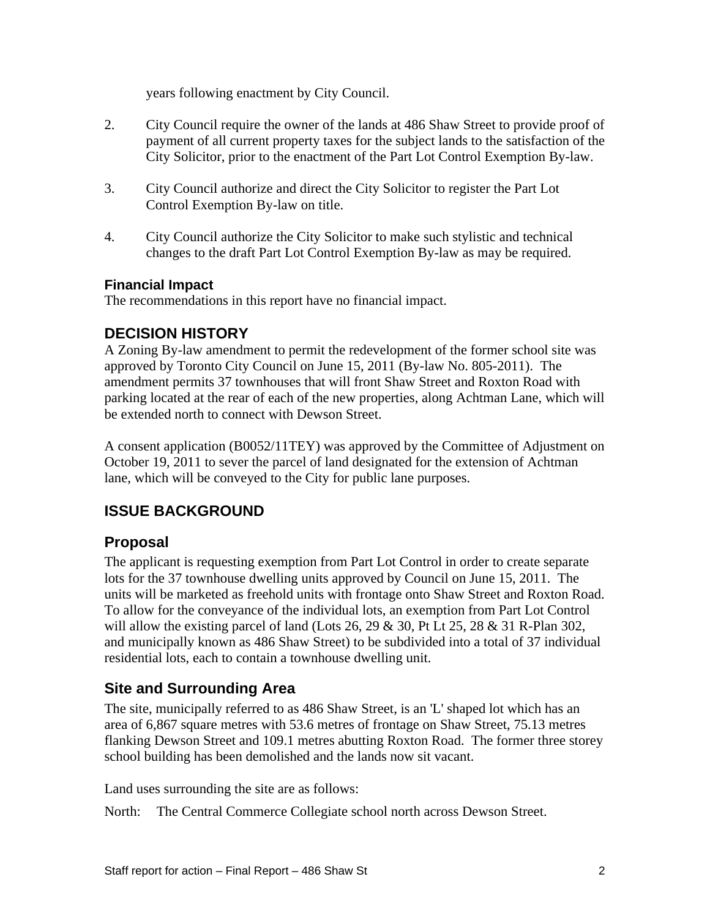years following enactment by City Council.

- 2. City Council require the owner of the lands at 486 Shaw Street to provide proof of payment of all current property taxes for the subject lands to the satisfaction of the City Solicitor, prior to the enactment of the Part Lot Control Exemption By-law.
- 3. City Council authorize and direct the City Solicitor to register the Part Lot Control Exemption By-law on title.
- 4. City Council authorize the City Solicitor to make such stylistic and technical changes to the draft Part Lot Control Exemption By-law as may be required.

#### **Financial Impact**

The recommendations in this report have no financial impact.

#### **DECISION HISTORY**

A Zoning By-law amendment to permit the redevelopment of the former school site was approved by Toronto City Council on June 15, 2011 (By-law No. 805-2011). The amendment permits 37 townhouses that will front Shaw Street and Roxton Road with parking located at the rear of each of the new properties, along Achtman Lane, which will be extended north to connect with Dewson Street.

A consent application (B0052/11TEY) was approved by the Committee of Adjustment on October 19, 2011 to sever the parcel of land designated for the extension of Achtman lane, which will be conveyed to the City for public lane purposes.

#### **ISSUE BACKGROUND**

#### **Proposal**

The applicant is requesting exemption from Part Lot Control in order to create separate lots for the 37 townhouse dwelling units approved by Council on June 15, 2011. The units will be marketed as freehold units with frontage onto Shaw Street and Roxton Road. To allow for the conveyance of the individual lots, an exemption from Part Lot Control will allow the existing parcel of land (Lots 26, 29  $\&$  30, Pt Lt 25, 28  $\&$  31 R-Plan 302, and municipally known as 486 Shaw Street) to be subdivided into a total of 37 individual residential lots, each to contain a townhouse dwelling unit.

#### **Site and Surrounding Area**

The site, municipally referred to as 486 Shaw Street, is an 'L' shaped lot which has an area of 6,867 square metres with 53.6 metres of frontage on Shaw Street, 75.13 metres flanking Dewson Street and 109.1 metres abutting Roxton Road. The former three storey school building has been demolished and the lands now sit vacant.

Land uses surrounding the site are as follows:

North: The Central Commerce Collegiate school north across Dewson Street.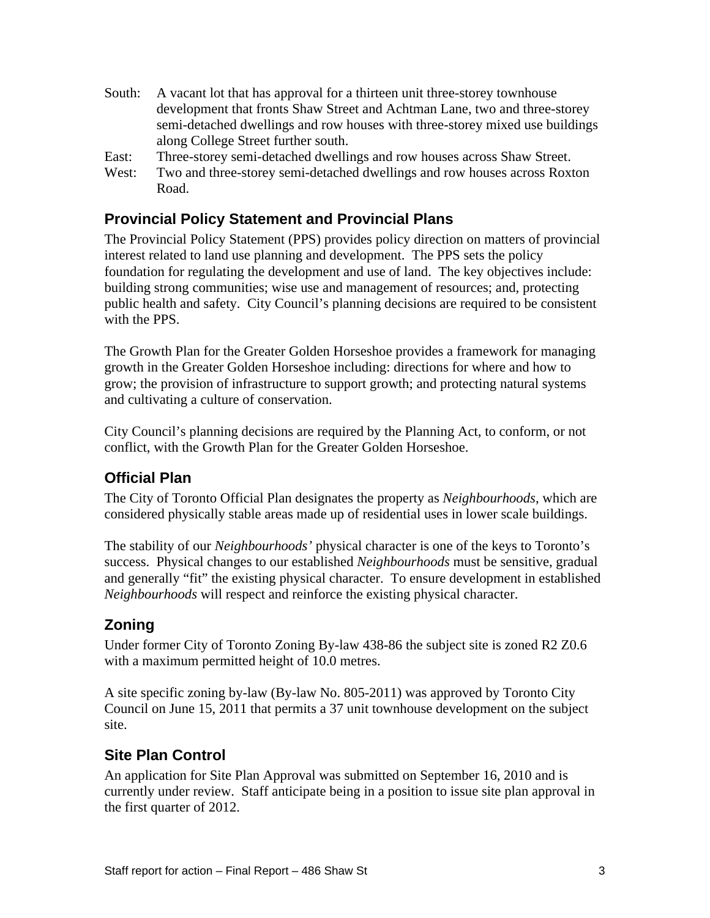- South: A vacant lot that has approval for a thirteen unit three-storey townhouse development that fronts Shaw Street and Achtman Lane, two and three-storey semi-detached dwellings and row houses with three-storey mixed use buildings along College Street further south.
- East: Three-storey semi-detached dwellings and row houses across Shaw Street.
- West: Two and three-storey semi-detached dwellings and row houses across Roxton Road.

#### **Provincial Policy Statement and Provincial Plans**

The Provincial Policy Statement (PPS) provides policy direction on matters of provincial interest related to land use planning and development. The PPS sets the policy foundation for regulating the development and use of land. The key objectives include: building strong communities; wise use and management of resources; and, protecting public health and safety. City Council's planning decisions are required to be consistent with the PPS.

The Growth Plan for the Greater Golden Horseshoe provides a framework for managing growth in the Greater Golden Horseshoe including: directions for where and how to grow; the provision of infrastructure to support growth; and protecting natural systems and cultivating a culture of conservation.

City Council's planning decisions are required by the Planning Act, to conform, or not conflict, with the Growth Plan for the Greater Golden Horseshoe.

#### **Official Plan**

The City of Toronto Official Plan designates the property as *Neighbourhoods*, which are considered physically stable areas made up of residential uses in lower scale buildings.

The stability of our *Neighbourhoods'* physical character is one of the keys to Toronto's success. Physical changes to our established *Neighbourhoods* must be sensitive, gradual and generally "fit" the existing physical character. To ensure development in established *Neighbourhoods* will respect and reinforce the existing physical character.

#### **Zoning**

Under former City of Toronto Zoning By-law 438-86 the subject site is zoned R2 Z0.6 with a maximum permitted height of 10.0 metres.

A site specific zoning by-law (By-law No. 805-2011) was approved by Toronto City Council on June 15, 2011 that permits a 37 unit townhouse development on the subject site.

#### **Site Plan Control**

An application for Site Plan Approval was submitted on September 16, 2010 and is currently under review. Staff anticipate being in a position to issue site plan approval in the first quarter of 2012.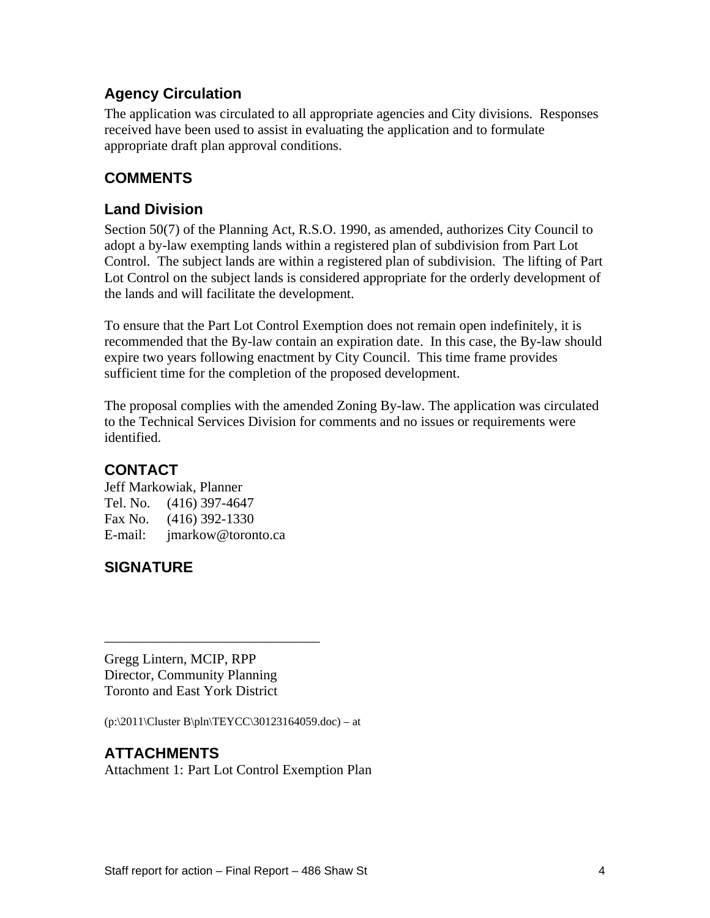#### **Agency Circulation**

The application was circulated to all appropriate agencies and City divisions. Responses received have been used to assist in evaluating the application and to formulate appropriate draft plan approval conditions.

#### **COMMENTS**

#### **Land Division**

Section 50(7) of the Planning Act, R.S.O. 1990, as amended, authorizes City Council to adopt a by-law exempting lands within a registered plan of subdivision from Part Lot Control. The subject lands are within a registered plan of subdivision. The lifting of Part Lot Control on the subject lands is considered appropriate for the orderly development of the lands and will facilitate the development.

To ensure that the Part Lot Control Exemption does not remain open indefinitely, it is recommended that the By-law contain an expiration date. In this case, the By-law should expire two years following enactment by City Council. This time frame provides sufficient time for the completion of the proposed development.

The proposal complies with the amended Zoning By-law. The application was circulated to the Technical Services Division for comments and no issues or requirements were identified.

#### **CONTACT**

Jeff Markowiak, Planner Tel. No. (416) 397-4647 Fax No. (416) 392-1330 E-mail: jmarkow@toronto.ca

#### **SIGNATURE**

Gregg Lintern, MCIP, RPP Director, Community Planning Toronto and East York District

 $(p:\2011\CLtext{B\ph{TEYCC\30123164059.doc} - at$ 

#### **ATTACHMENTS**

Attachment 1: Part Lot Control Exemption Plan

 $\overline{\phantom{a}}$  , we can assume that the contract of  $\overline{\phantom{a}}$  , we can assume that the contract of  $\overline{\phantom{a}}$